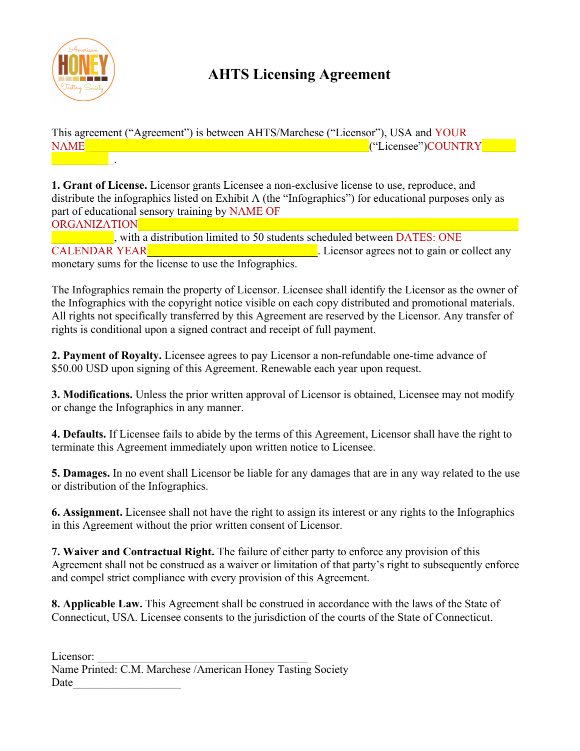

## **AHTS Licensing Agreement**

This agreement ("Agreement") is between AHTS/Marchese ("Licensor"), USA and YOUR NAME<sup>T</sup> The set of the set of the set of the set of the set of the set of the set of the set of the set of the set of the set of the set of the set of the set of the set of the set of the set of the set of the set of the s  $\mathcal{L}=\mathcal{L}^{\mathcal{L}}$  .

**1. Grant of License.** Licensor grants Licensee a non-exclusive license to use, reproduce, and distribute the infographics listed on Exhibit A (the "Infographics") for educational purposes only as part of educational sensory training by NAME OF

ORGANIZATION

with a distribution limited to 50 students scheduled between DATES: ONE CALENDAR YEAR<sup>throw</sup> CALENDAR YEAR<sup>throw</sup>. Licensor agrees not to gain or collect any monetary sums for the license to use the Infographics.

The Infographics remain the property of Licensor. Licensee shall identify the Licensor as the owner of the Infographics with the copyright notice visible on each copy distributed and promotional materials. All rights not specifically transferred by this Agreement are reserved by the Licensor. Any transfer of rights is conditional upon a signed contract and receipt of full payment.

**2. Payment of Royalty.** Licensee agrees to pay Licensor a non-refundable one-time advance of \$50.00 USD upon signing of this Agreement. Renewable each year upon request.

**3. Modifications.** Unless the prior written approval of Licensor is obtained, Licensee may not modify or change the Infographics in any manner.

**4. Defaults.** If Licensee fails to abide by the terms of this Agreement, Licensor shall have the right to terminate this Agreement immediately upon written notice to Licensee.

**5. Damages.** In no event shall Licensor be liable for any damages that are in any way related to the use or distribution of the Infographics.

**6. Assignment.** Licensee shall not have the right to assign its interest or any rights to the Infographics in this Agreement without the prior written consent of Licensor.

**7. Waiver and Contractual Right.** The failure of either party to enforce any provision of this Agreement shall not be construed as a waiver or limitation of that party's right to subsequently enforce and compel strict compliance with every provision of this Agreement.

**8. Applicable Law.** This Agreement shall be construed in accordance with the laws of the State of Connecticut, USA. Licensee consents to the jurisdiction of the courts of the State of Connecticut.

Licensor: Name Printed: C.M. Marchese /American Honey Tasting Society Date